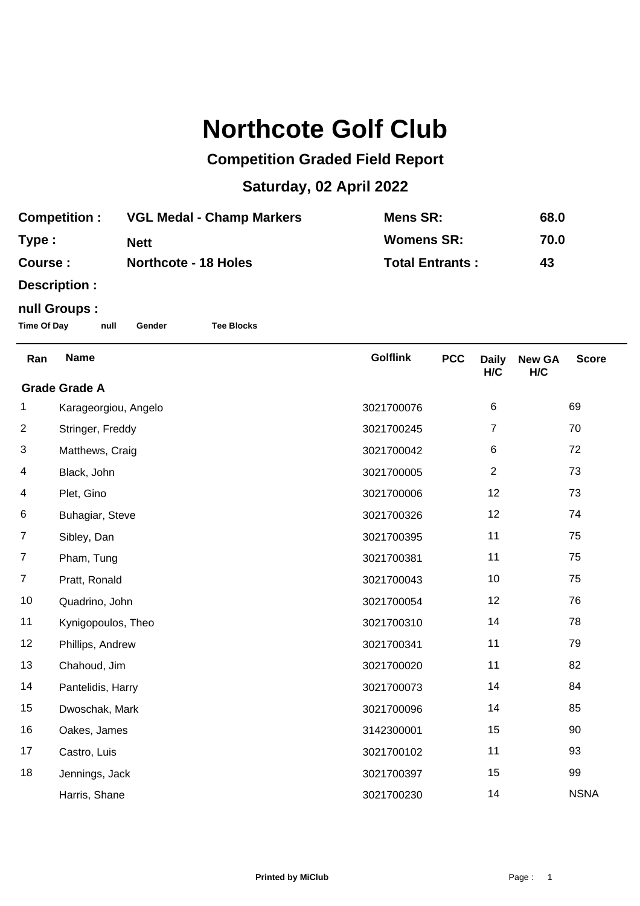## **Northcote Golf Club**

## **Competition Graded Field Report**

## **Saturday, 02 April 2022**

| <b>Competition :</b> | <b>VGL Medal - Champ Markers</b> | Mens SR:               | 68.0 |
|----------------------|----------------------------------|------------------------|------|
| Type :               | <b>Nett</b>                      | <b>Womens SR:</b>      | 70.0 |
| <b>Course :</b>      | <b>Northcote - 18 Holes</b>      | <b>Total Entrants:</b> | 43   |

**Description :**

## **null Groups :**

**Time Of Day null Gender Tee Blocks**

| Ran                  | <b>Name</b>          | <b>Golflink</b> | <b>PCC</b> | <b>Daily</b><br>H/C | <b>New GA</b><br>H/C | <b>Score</b> |
|----------------------|----------------------|-----------------|------------|---------------------|----------------------|--------------|
| <b>Grade Grade A</b> |                      |                 |            |                     |                      |              |
| 1                    | Karageorgiou, Angelo | 3021700076      |            | 6                   |                      | 69           |
| $\overline{2}$       | Stringer, Freddy     | 3021700245      |            | 7                   |                      | 70           |
| 3                    | Matthews, Craig      | 3021700042      |            | 6                   |                      | 72           |
| 4                    | Black, John          | 3021700005      |            | $\overline{2}$      |                      | 73           |
| 4                    | Plet, Gino           | 3021700006      |            | 12                  |                      | 73           |
| 6                    | Buhagiar, Steve      | 3021700326      |            | 12                  |                      | 74           |
| $\overline{7}$       | Sibley, Dan          | 3021700395      |            | 11                  |                      | 75           |
| $\overline{7}$       | Pham, Tung           | 3021700381      |            | 11                  |                      | 75           |
| $\overline{7}$       | Pratt, Ronald        | 3021700043      |            | 10                  |                      | 75           |
| 10                   | Quadrino, John       | 3021700054      |            | 12                  |                      | 76           |
| 11                   | Kynigopoulos, Theo   | 3021700310      |            | 14                  |                      | 78           |
| 12                   | Phillips, Andrew     | 3021700341      |            | 11                  |                      | 79           |
| 13                   | Chahoud, Jim         | 3021700020      |            | 11                  |                      | 82           |
| 14                   | Pantelidis, Harry    | 3021700073      |            | 14                  |                      | 84           |
| 15                   | Dwoschak, Mark       | 3021700096      |            | 14                  |                      | 85           |
| 16                   | Oakes, James         | 3142300001      |            | 15                  |                      | 90           |
| 17                   | Castro, Luis         | 3021700102      |            | 11                  |                      | 93           |
| 18                   | Jennings, Jack       | 3021700397      |            | 15                  |                      | 99           |
|                      | Harris, Shane        | 3021700230      |            | 14                  |                      | <b>NSNA</b>  |